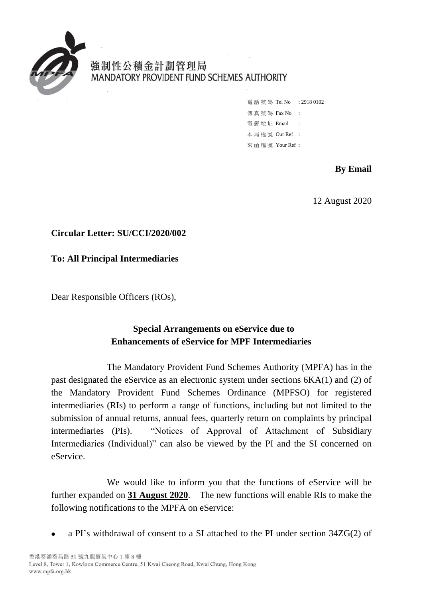

強制性公積金計劃管理局 MANDATORY PROVIDENT FUND SCHEMES AUTHORITY

> 電話號碼 Tel No : 2918 0102 傳真號碼 Fax No : 雷 郵 地 址 Email : 本 局 檔 號 Our Ref : 來 函 檔 號 Your Ref :

### **By Email**

12 August 2020

## **Circular Letter: SU/CCI/2020/002**

### **To: All Principal Intermediaries**

Dear Responsible Officers (ROs),

## **Special Arrangements on eService due to Enhancements of eService for MPF Intermediaries**

The Mandatory Provident Fund Schemes Authority (MPFA) has in the past designated the eService as an electronic system under sections 6KA(1) and (2) of the Mandatory Provident Fund Schemes Ordinance (MPFSO) for registered intermediaries (RIs) to perform a range of functions, including but not limited to the submission of annual returns, annual fees, quarterly return on complaints by principal intermediaries (PIs). "Notices of Approval of Attachment of Subsidiary Intermediaries (Individual)" can also be viewed by the PI and the SI concerned on eService.

We would like to inform you that the functions of eService will be further expanded on **31 August 2020**. The new functions will enable RIs to make the following notifications to the MPFA on eService:

a PI's withdrawal of consent to a SI attached to the PI under section 34ZG(2) of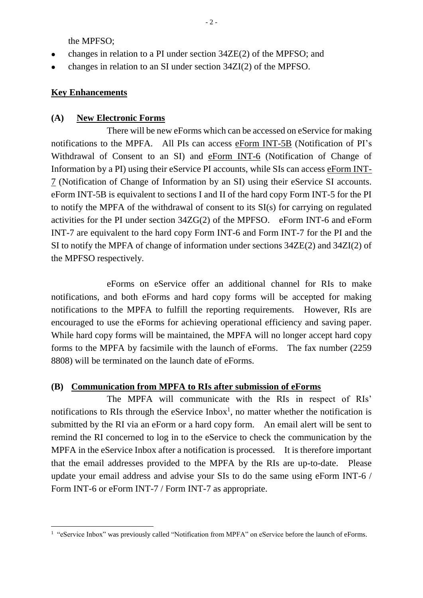the MPFSO;

- changes in relation to a PI under section 34ZE(2) of the MPFSO; and
- changes in relation to an SI under section 34ZI(2) of the MPFSO.

#### **Key Enhancements**

#### **(A) New Electronic Forms**

There will be new eForms which can be accessed on eService for making notifications to the MPFA. All PIs can access eForm INT-5B (Notification of PI's Withdrawal of Consent to an SI) and eForm INT-6 (Notification of Change of Information by a PI) using their eService PI accounts, while SIs can access eForm INT-7 (Notification of Change of Information by an SI) using their eService SI accounts. eForm INT-5B is equivalent to sections I and II of the hard copy Form INT-5 for the PI to notify the MPFA of the withdrawal of consent to its SI(s) for carrying on regulated activities for the PI under section 34ZG(2) of the MPFSO. eForm INT-6 and eForm INT-7 are equivalent to the hard copy Form INT-6 and Form INT-7 for the PI and the SI to notify the MPFA of change of information under sections 34ZE(2) and 34ZI(2) of the MPFSO respectively.

eForms on eService offer an additional channel for RIs to make notifications, and both eForms and hard copy forms will be accepted for making notifications to the MPFA to fulfill the reporting requirements. However, RIs are encouraged to use the eForms for achieving operational efficiency and saving paper. While hard copy forms will be maintained, the MPFA will no longer accept hard copy forms to the MPFA by facsimile with the launch of eForms. The fax number (2259 8808) will be terminated on the launch date of eForms.

### **(B) Communication from MPFA to RIs after submission of eForms**

The MPFA will communicate with the RIs in respect of RIs' notifications to RIs through the eService Inbox<sup>1</sup>, no matter whether the notification is submitted by the RI via an eForm or a hard copy form. An email alert will be sent to remind the RI concerned to log in to the eService to check the communication by the MPFA in the eService Inbox after a notification is processed. It is therefore important that the email addresses provided to the MPFA by the RIs are up-to-date. Please update your email address and advise your SIs to do the same using eForm INT-6 / Form INT-6 or eForm INT-7 / Form INT-7 as appropriate.

<sup>1</sup> <sup>1</sup> "eService Inbox" was previously called "Notification from MPFA" on eService before the launch of eForms.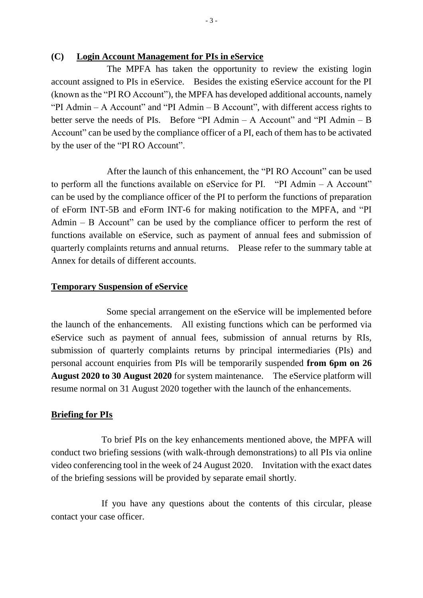#### **(C) Login Account Management for PIs in eService**

The MPFA has taken the opportunity to review the existing login account assigned to PIs in eService. Besides the existing eService account for the PI (known as the "PI RO Account"), the MPFA has developed additional accounts, namely "PI Admin – A Account" and "PI Admin – B Account", with different access rights to better serve the needs of PIs. Before "PI Admin – A Account" and "PI Admin – B Account" can be used by the compliance officer of a PI, each of them has to be activated by the user of the "PI RO Account".

After the launch of this enhancement, the "PI RO Account" can be used to perform all the functions available on eService for PI. "PI Admin – A Account" can be used by the compliance officer of the PI to perform the functions of preparation of eForm INT-5B and eForm INT-6 for making notification to the MPFA, and "PI Admin  $-$  B Account" can be used by the compliance officer to perform the rest of functions available on eService, such as payment of annual fees and submission of quarterly complaints returns and annual returns. Please refer to the summary table at Annex for details of different accounts.

#### **Temporary Suspension of eService**

Some special arrangement on the eService will be implemented before the launch of the enhancements. All existing functions which can be performed via eService such as payment of annual fees, submission of annual returns by RIs, submission of quarterly complaints returns by principal intermediaries (PIs) and personal account enquiries from PIs will be temporarily suspended **from 6pm on 26 August 2020 to 30 August 2020** for system maintenance. The eService platform will resume normal on 31 August 2020 together with the launch of the enhancements.

#### **Briefing for PIs**

To brief PIs on the key enhancements mentioned above, the MPFA will conduct two briefing sessions (with walk-through demonstrations) to all PIs via online video conferencing tool in the week of 24 August 2020. Invitation with the exact dates of the briefing sessions will be provided by separate email shortly.

If you have any questions about the contents of this circular, please contact your case officer.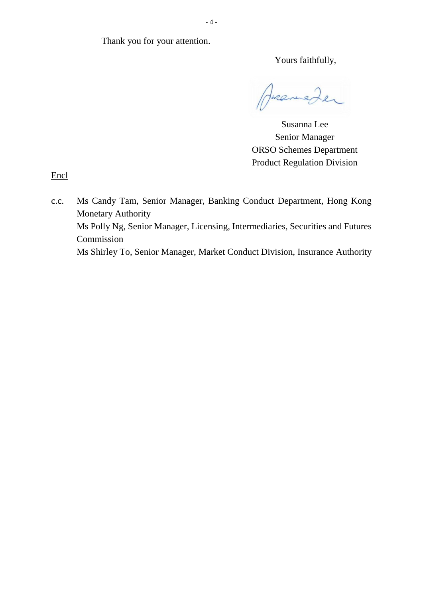Thank you for your attention.

Yours faithfully,

Huraneder

Susanna Lee Senior Manager ORSO Schemes Department Product Regulation Division

**Encl** 

c.c. Ms Candy Tam, Senior Manager, Banking Conduct Department, Hong Kong Monetary Authority Ms Polly Ng, Senior Manager, Licensing, Intermediaries, Securities and Futures Commission Ms Shirley To, Senior Manager, Market Conduct Division, Insurance Authority